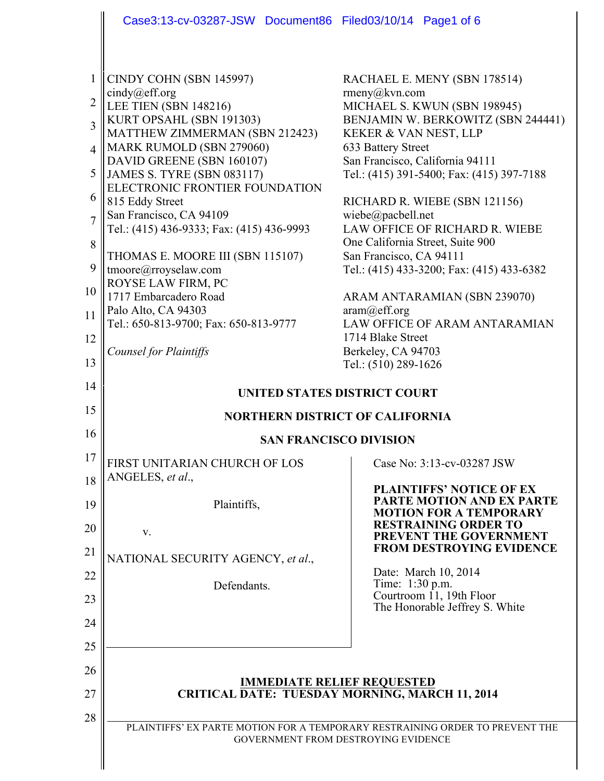|                                                                                                                      | Case3:13-cv-03287-JSW Document86 Filed03/10/14 Page1 of 6                                                                                                                                                                                                                                                                                                                                                                                                                                                                             |                                                                                                                                                                                                                                                                                                                                                                                                                                                                                                                                         |
|----------------------------------------------------------------------------------------------------------------------|---------------------------------------------------------------------------------------------------------------------------------------------------------------------------------------------------------------------------------------------------------------------------------------------------------------------------------------------------------------------------------------------------------------------------------------------------------------------------------------------------------------------------------------|-----------------------------------------------------------------------------------------------------------------------------------------------------------------------------------------------------------------------------------------------------------------------------------------------------------------------------------------------------------------------------------------------------------------------------------------------------------------------------------------------------------------------------------------|
| $\mathbf{1}$<br>$\overline{c}$<br>$\overline{3}$<br>$\overline{4}$<br>5<br>6<br>$\overline{7}$<br>8<br>9<br>10<br>11 | CINDY COHN (SBN 145997)<br>cindy@eff.org<br>LEE TIEN (SBN 148216)<br>KURT OPSAHL (SBN 191303)<br>MATTHEW ZIMMERMAN (SBN 212423)<br>MARK RUMOLD (SBN 279060)<br>DAVID GREENE (SBN 160107)<br><b>JAMES S. TYRE (SBN 083117)</b><br>ELECTRONIC FRONTIER FOUNDATION<br>815 Eddy Street<br>San Francisco, CA 94109<br>Tel.: (415) 436-9333; Fax: (415) 436-9993<br>THOMAS E. MOORE III (SBN 115107)<br>tmoore@rroyselaw.com<br>ROYSE LAW FIRM, PC<br>1717 Embarcadero Road<br>Palo Alto, CA 94303<br>Tel.: 650-813-9700; Fax: 650-813-9777 | RACHAEL E. MENY (SBN 178514)<br>rmeny@kvn.com<br>MICHAEL S. KWUN (SBN 198945)<br>BENJAMIN W. BERKOWITZ (SBN 244441)<br>KEKER & VAN NEST, LLP<br>633 Battery Street<br>San Francisco, California 94111<br>Tel.: (415) 391-5400; Fax: (415) 397-7188<br>RICHARD R. WIEBE (SBN 121156)<br>wiebe@pacbell.net<br>LAW OFFICE OF RICHARD R. WIEBE<br>One California Street, Suite 900<br>San Francisco, CA 94111<br>Tel.: (415) 433-3200; Fax: (415) 433-6382<br>ARAM ANTARAMIAN (SBN 239070)<br>aram@eff.org<br>LAW OFFICE OF ARAM ANTARAMIAN |
| 12<br>13                                                                                                             | Counsel for Plaintiffs                                                                                                                                                                                                                                                                                                                                                                                                                                                                                                                | 1714 Blake Street<br>Berkeley, CA 94703<br>Tel.: (510) 289-1626                                                                                                                                                                                                                                                                                                                                                                                                                                                                         |
| 14                                                                                                                   | <b>UNITED STATES DISTRICT COURT</b>                                                                                                                                                                                                                                                                                                                                                                                                                                                                                                   |                                                                                                                                                                                                                                                                                                                                                                                                                                                                                                                                         |
| 15                                                                                                                   | <b>NORTHERN DISTRICT OF CALIFORNIA</b>                                                                                                                                                                                                                                                                                                                                                                                                                                                                                                |                                                                                                                                                                                                                                                                                                                                                                                                                                                                                                                                         |
| 16                                                                                                                   | <b>SAN FRANCISCO DIVISION</b>                                                                                                                                                                                                                                                                                                                                                                                                                                                                                                         |                                                                                                                                                                                                                                                                                                                                                                                                                                                                                                                                         |
| 17<br>18                                                                                                             | FIRST UNITARIAN CHURCH OF LOS<br>ANGELES, et al.,                                                                                                                                                                                                                                                                                                                                                                                                                                                                                     | Case No: 3:13-cv-03287 JSW                                                                                                                                                                                                                                                                                                                                                                                                                                                                                                              |
| 19                                                                                                                   | Plaintiffs,                                                                                                                                                                                                                                                                                                                                                                                                                                                                                                                           | PLAINTIFFS' NOTICE OF EX<br><b>PARTE MOTION AND EX PARTE</b><br><b>MOTION FOR A TEMPORARY</b>                                                                                                                                                                                                                                                                                                                                                                                                                                           |
| 20                                                                                                                   | V.                                                                                                                                                                                                                                                                                                                                                                                                                                                                                                                                    | <b>RESTRAINING ORDER TO</b><br>PREVENT THE GOVERNMENT                                                                                                                                                                                                                                                                                                                                                                                                                                                                                   |
| 21                                                                                                                   | NATIONAL SECURITY AGENCY, et al.,                                                                                                                                                                                                                                                                                                                                                                                                                                                                                                     | <b>FROM DESTROYING EVIDENCE</b>                                                                                                                                                                                                                                                                                                                                                                                                                                                                                                         |
| 22                                                                                                                   | Defendants.                                                                                                                                                                                                                                                                                                                                                                                                                                                                                                                           | Date: March 10, 2014<br>Time: 1:30 p.m.                                                                                                                                                                                                                                                                                                                                                                                                                                                                                                 |
| 23                                                                                                                   |                                                                                                                                                                                                                                                                                                                                                                                                                                                                                                                                       | Courtroom 11, 19th Floor<br>The Honorable Jeffrey S. White                                                                                                                                                                                                                                                                                                                                                                                                                                                                              |
| 24                                                                                                                   |                                                                                                                                                                                                                                                                                                                                                                                                                                                                                                                                       |                                                                                                                                                                                                                                                                                                                                                                                                                                                                                                                                         |
| 25                                                                                                                   |                                                                                                                                                                                                                                                                                                                                                                                                                                                                                                                                       |                                                                                                                                                                                                                                                                                                                                                                                                                                                                                                                                         |
| 26                                                                                                                   | <b>IMMEDIATE RELIEF REQUESTED</b><br><b>CRITICAL DATE: TUESDAY MORNING, MARCH 11, 2014</b>                                                                                                                                                                                                                                                                                                                                                                                                                                            |                                                                                                                                                                                                                                                                                                                                                                                                                                                                                                                                         |
| 27<br>28                                                                                                             |                                                                                                                                                                                                                                                                                                                                                                                                                                                                                                                                       |                                                                                                                                                                                                                                                                                                                                                                                                                                                                                                                                         |
|                                                                                                                      |                                                                                                                                                                                                                                                                                                                                                                                                                                                                                                                                       | PLAINTIFFS' EX PARTE MOTION FOR A TEMPORARY RESTRAINING ORDER TO PREVENT THE<br>GOVERNMENT FROM DESTROYING EVIDENCE                                                                                                                                                                                                                                                                                                                                                                                                                     |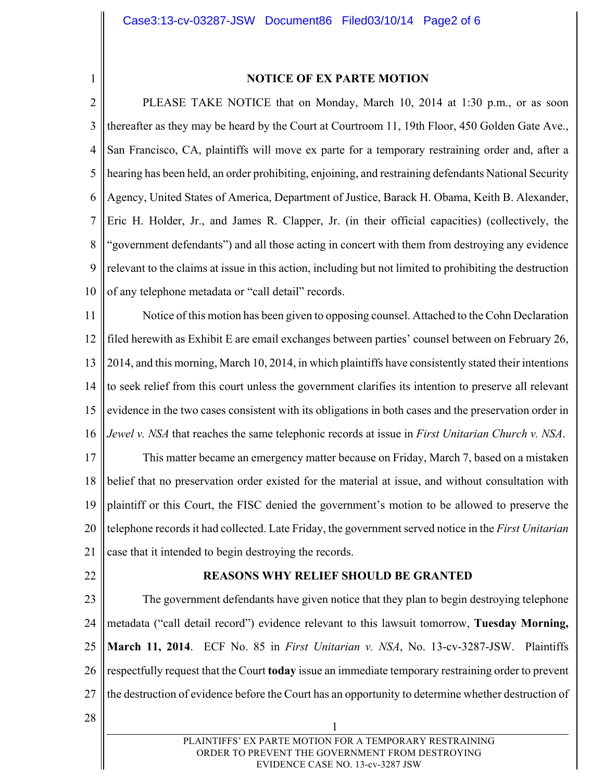1

### **NOTICE OF EX PARTE MOTION**

2 3 4 5 6 7 8 9 10 PLEASE TAKE NOTICE that on Monday, March 10, 2014 at 1:30 p.m., or as soon thereafter as they may be heard by the Court at Courtroom 11, 19th Floor, 450 Golden Gate Ave., San Francisco, CA, plaintiffs will move ex parte for a temporary restraining order and, after a hearing has been held, an order prohibiting, enjoining, and restraining defendants National Security Agency, United States of America, Department of Justice, Barack H. Obama, Keith B. Alexander, Eric H. Holder, Jr., and James R. Clapper, Jr. (in their official capacities) (collectively, the "government defendants") and all those acting in concert with them from destroying any evidence relevant to the claims at issue in this action, including but not limited to prohibiting the destruction of any telephone metadata or "call detail" records.

11 12 13 14 15 16 17 18 19 20 21 Notice of this motion has been given to opposing counsel. Attached to the Cohn Declaration filed herewith as Exhibit E are email exchanges between parties' counsel between on February 26, 2014, and this morning, March 10, 2014, in which plaintiffs have consistently stated their intentions to seek relief from this court unless the government clarifies its intention to preserve all relevant evidence in the two cases consistent with its obligations in both cases and the preservation order in *Jewel v. NSA* that reaches the same telephonic records at issue in *First Unitarian Church v. NSA*. This matter became an emergency matter because on Friday, March 7, based on a mistaken belief that no preservation order existed for the material at issue, and without consultation with plaintiff or this Court, the FISC denied the government's motion to be allowed to preserve the telephone records it had collected. Late Friday, the government served notice in the *First Unitarian* case that it intended to begin destroying the records.

22

### **REASONS WHY RELIEF SHOULD BE GRANTED**

23 24 25 26 27 The government defendants have given notice that they plan to begin destroying telephone metadata ("call detail record") evidence relevant to this lawsuit tomorrow, **Tuesday Morning, March 11, 2014**. ECF No. 85 in *First Unitarian v. NSA*, No. 13-cv-3287-JSW. Plaintiffs respectfully request that the Court **today** issue an immediate temporary restraining order to prevent the destruction of evidence before the Court has an opportunity to determine whether destruction of

28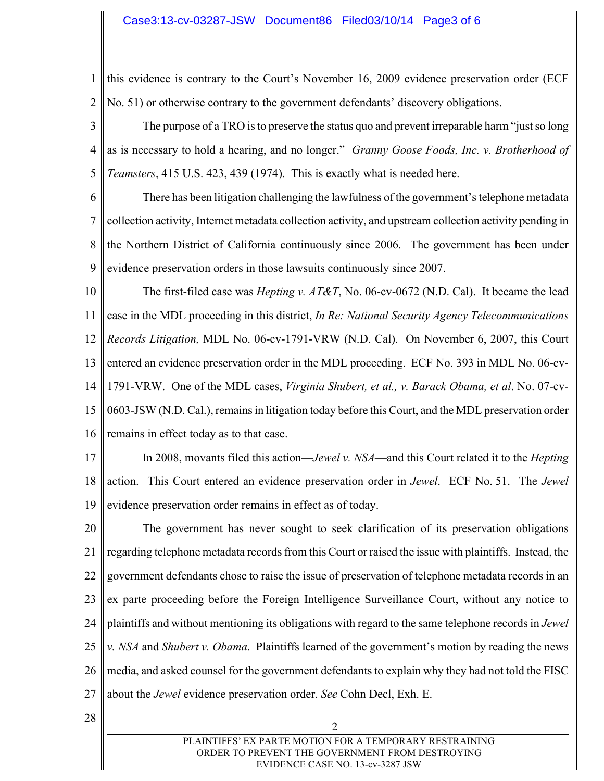### Case3:13-cv-03287-JSW Document86 Filed03/10/14 Page3 of 6

1 2 this evidence is contrary to the Court's November 16, 2009 evidence preservation order (ECF No. 51) or otherwise contrary to the government defendants' discovery obligations.

3 4 5 The purpose of a TRO is to preserve the status quo and prevent irreparable harm "just so long as is necessary to hold a hearing, and no longer." *Granny Goose Foods, Inc. v. Brotherhood of Teamsters*, 415 U.S. 423, 439 (1974). This is exactly what is needed here.

6 7 8 9 There has been litigation challenging the lawfulness of the government's telephone metadata collection activity, Internet metadata collection activity, and upstream collection activity pending in the Northern District of California continuously since 2006. The government has been under evidence preservation orders in those lawsuits continuously since 2007.

10 11 12 13 14 15 16 The first-filed case was *Hepting v. AT&T*, No. 06-cv-0672 (N.D. Cal). It became the lead case in the MDL proceeding in this district, *In Re: National Security Agency Telecommunications Records Litigation,* MDL No. 06-cv-1791-VRW (N.D. Cal). On November 6, 2007, this Court entered an evidence preservation order in the MDL proceeding. ECF No. 393 in MDL No. 06-cv-1791-VRW. One of the MDL cases, *Virginia Shubert, et al., v. Barack Obama, et al*. No. 07-cv-0603-JSW (N.D. Cal.), remains in litigation today before this Court, and the MDL preservation order remains in effect today as to that case.

- 17 18 19 In 2008, movants filed this action—*Jewel v. NSA*—and this Court related it to the *Hepting* action. This Court entered an evidence preservation order in *Jewel*. ECF No. 51. The *Jewel* evidence preservation order remains in effect as of today.
- 20 21 22 23 24 25 26 27 The government has never sought to seek clarification of its preservation obligations regarding telephone metadata records from this Court or raised the issue with plaintiffs. Instead, the government defendants chose to raise the issue of preservation of telephone metadata records in an ex parte proceeding before the Foreign Intelligence Surveillance Court, without any notice to plaintiffs and without mentioning its obligations with regard to the same telephone records in *Jewel v. NSA* and *Shubert v. Obama*. Plaintiffs learned of the government's motion by reading the news media, and asked counsel for the government defendants to explain why they had not told the FISC about the *Jewel* evidence preservation order. *See* Cohn Decl, Exh. E.
- 28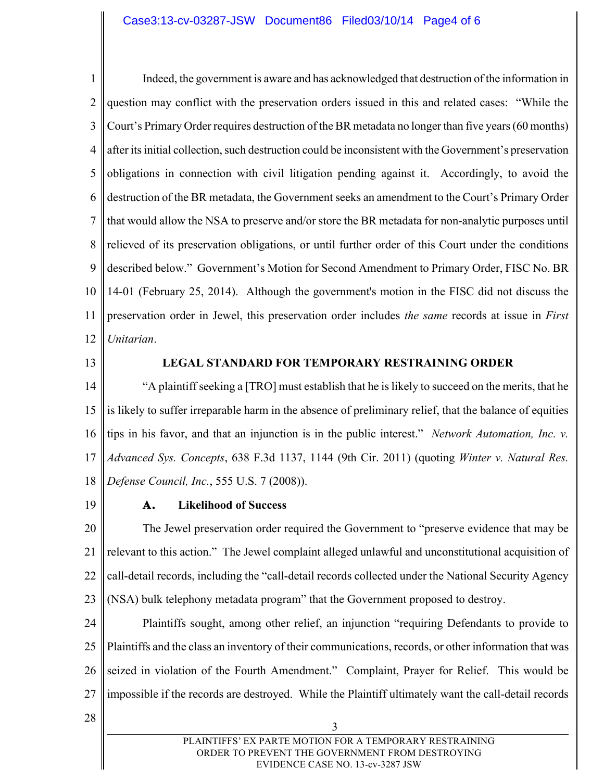### Case3:13-cv-03287-JSW Document86 Filed03/10/14 Page4 of 6

1 2 3 4 5 6 7 8 9 10 11 12 Indeed, the government is aware and has acknowledged that destruction of the information in question may conflict with the preservation orders issued in this and related cases: "While the Court's Primary Order requires destruction of the BR metadata no longer than five years (60 months) after its initial collection, such destruction could be inconsistent with the Government's preservation obligations in connection with civil litigation pending against it. Accordingly, to avoid the destruction of the BR metadata, the Government seeks an amendment to the Court's Primary Order that would allow the NSA to preserve and/or store the BR metadata for non-analytic purposes until relieved of its preservation obligations, or until further order of this Court under the conditions described below." Government's Motion for Second Amendment to Primary Order, FISC No. BR 14-01 (February 25, 2014). Although the government's motion in the FISC did not discuss the preservation order in Jewel, this preservation order includes *the same* records at issue in *First Unitarian*.

13

#### **LEGAL STANDARD FOR TEMPORARY RESTRAINING ORDER**

14 15 16 17 18 "A plaintiff seeking a [TRO] must establish that he is likely to succeed on the merits, that he is likely to suffer irreparable harm in the absence of preliminary relief, that the balance of equities tips in his favor, and that an injunction is in the public interest." *Network Automation, Inc. v. Advanced Sys. Concepts*, 638 F.3d 1137, 1144 (9th Cir. 2011) (quoting *Winter v. Natural Res. Defense Council, Inc.*, 555 U.S. 7 (2008)).

19

#### **A. Likelihood of Success**

20 21 22 23 The Jewel preservation order required the Government to "preserve evidence that may be relevant to this action." The Jewel complaint alleged unlawful and unconstitutional acquisition of call-detail records, including the "call-detail records collected under the National Security Agency (NSA) bulk telephony metadata program" that the Government proposed to destroy.

24 25 26 27 Plaintiffs sought, among other relief, an injunction "requiring Defendants to provide to Plaintiffs and the class an inventory of their communications, records, or other information that was seized in violation of the Fourth Amendment." Complaint, Prayer for Relief. This would be impossible if the records are destroyed. While the Plaintiff ultimately want the call-detail records

28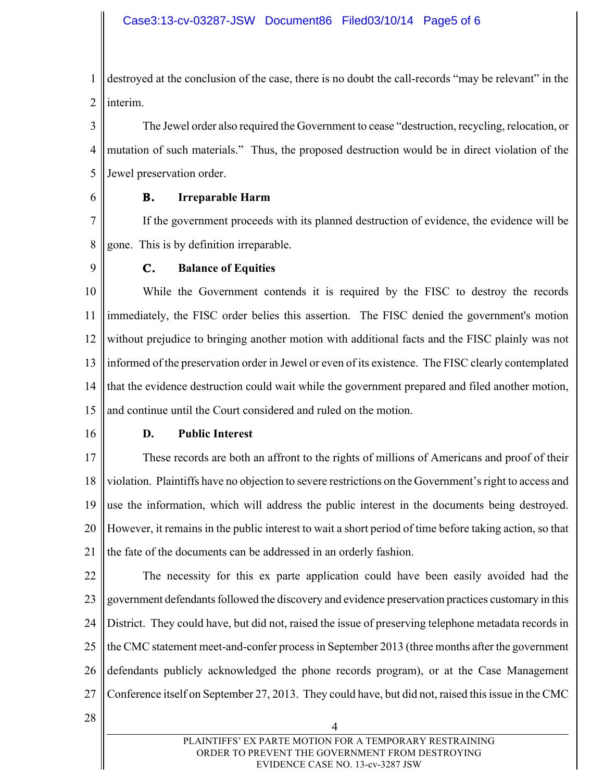1 2 destroyed at the conclusion of the case, there is no doubt the call-records "may be relevant" in the interim.

3 4 5 The Jewel order also required the Government to cease "destruction, recycling, relocation, or mutation of such materials." Thus, the proposed destruction would be in direct violation of the Jewel preservation order.

6

# **B. Irreparable Harm**

7 8 If the government proceeds with its planned destruction of evidence, the evidence will be gone. This is by definition irreparable.

9

# **C. Balance of Equities**

10 11 12 13 14 15 While the Government contends it is required by the FISC to destroy the records immediately, the FISC order belies this assertion. The FISC denied the government's motion without prejudice to bringing another motion with additional facts and the FISC plainly was not informed of the preservation order in Jewel or even of its existence. The FISC clearly contemplated that the evidence destruction could wait while the government prepared and filed another motion, and continue until the Court considered and ruled on the motion.

16

# **D. Public Interest**

17 18 19 20 21 These records are both an affront to the rights of millions of Americans and proof of their violation. Plaintiffs have no objection to severe restrictions on the Government's right to access and use the information, which will address the public interest in the documents being destroyed. However, it remains in the public interest to wait a short period of time before taking action, so that the fate of the documents can be addressed in an orderly fashion.

22 23 24 25 26 27 The necessity for this ex parte application could have been easily avoided had the government defendants followed the discovery and evidence preservation practices customary in this District. They could have, but did not, raised the issue of preserving telephone metadata records in the CMC statement meet-and-confer process in September 2013 (three months after the government defendants publicly acknowledged the phone records program), or at the Case Management Conference itself on September 27, 2013. They could have, but did not, raised this issue in the CMC

28